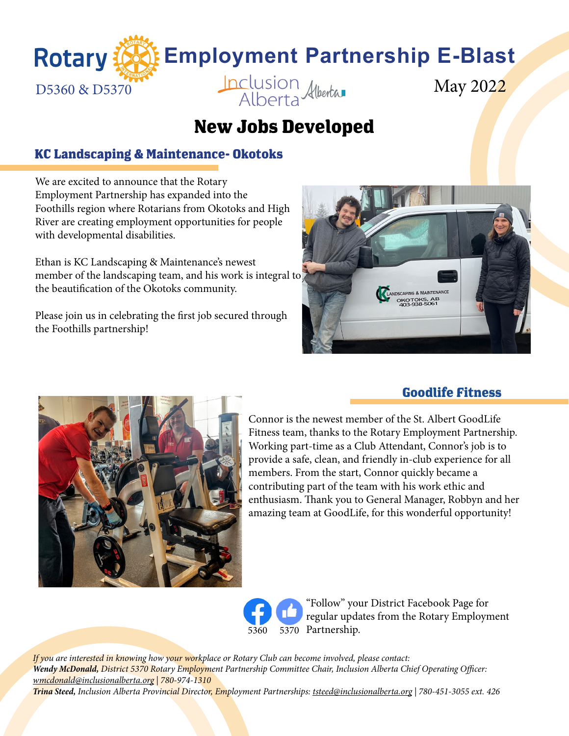

## **New Jobs Developed**

#### **KC Landscaping & Maintenance- Okotoks**

We are excited to announce that the Rotary Employment Partnership has expanded into the Foothills region where Rotarians from Okotoks and High River are creating employment opportunities for people with developmental disabilities.

Ethan is KC Landscaping & Maintenance's newest member of the landscaping team, and his work is integral to the beautification of the Okotoks community.

Please join us in celebrating the first job secured through the Foothills partnership!





#### **Goodlife Fitness**

Connor is the newest member of the St. Albert GoodLife Fitness team, thanks to the Rotary Employment Partnership. Working part-time as a Club Attendant, Connor's job is to provide a safe, clean, and friendly in-club experience for all members. From the start, Connor quickly became a contributing part of the team with his work ethic and enthusiasm. Thank you to General Manager, Robbyn and her amazing team at GoodLife, for this wonderful opportunity!

"Follow" your District Facebook Page for regular updates from the Rotary Employment [5360](https://www.facebook.com/RIDistrict5360) [5370](https://www.facebook.com/rotaryd5370) Partnership.

*If you are interested in knowing how your workplace or Rotary Club can become involved, please contact: Wendy McDonald, District 5370 Rotary Employment Partnership Committee Chair, Inclusion Alberta Chief Operating Officer: wmcdonald@inclusionalberta.org | 780-974-1310 Trina Steed, Inclusion Alberta Provincial Director, Employment Partnerships: tsteed@inclusionalberta.org | 780-451-3055 ext. 426*